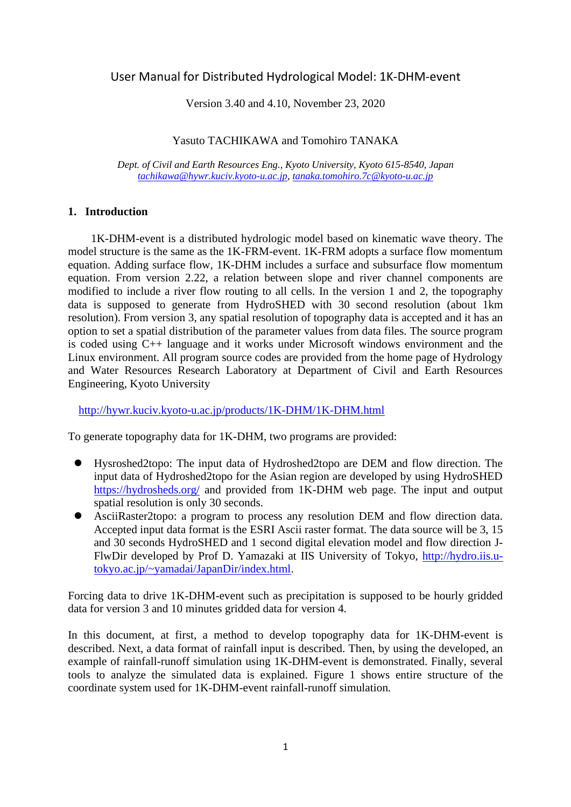# User Manual for Distributed Hydrological Model: 1K-DHM-event

Version 3.40 and 4.10, November 23, 2020

Yasuto TACHIKAWA and Tomohiro TANAKA

*Dept. of Civil and Earth Resources Eng., Kyoto University, Kyoto 615-8540, Japan [tachikawa@hywr.kuciv.kyoto-u.ac.jp](mailto:tachikawa@hywr.kuciv.kyoto-u.ac.jp)*, *tanaka.tomohiro.7c@kyoto-u.ac.jp*

#### **1. Introduction**

1K-DHM-event is a distributed hydrologic model based on kinematic wave theory. The model structure is the same as the 1K-FRM-event. 1K-FRM adopts a surface flow momentum equation. Adding surface flow, 1K-DHM includes a surface and subsurface flow momentum equation. From version 2.22, a relation between slope and river channel components are modified to include a river flow routing to all cells. In the version 1 and 2, the topography data is supposed to generate from HydroSHED with 30 second resolution (about 1km resolution). From version 3, any spatial resolution of topography data is accepted and it has an option to set a spatial distribution of the parameter values from data files. The source program is coded using C++ language and it works under Microsoft windows environment and the Linux environment. All program source codes are provided from the home page of Hydrology and Water Resources Research Laboratory at Department of Civil and Earth Resources Engineering, Kyoto University

<http://hywr.kuciv.kyoto-u.ac.jp/products/1K-DHM/1K-DHM.html>

To generate topography data for 1K-DHM, two programs are provided:

- ⚫ Hysroshed2topo: The input data of Hydroshed2topo are DEM and flow direction. The input data of Hydroshed2topo for the Asian region are developed by using HydroSHED <https://hydrosheds.org/> and provided from 1K-DHM web page. The input and output spatial resolution is only 30 seconds.
- ⚫ AsciiRaster2topo: a program to process any resolution DEM and flow direction data. Accepted input data format is the ESRI Ascii raster format. The data source will be 3, 15 and 30 seconds HydroSHED and 1 second digital elevation model and flow direction J-FlwDir developed by Prof D. Yamazaki at IIS University of Tokyo, [http://hydro.iis.u](http://hydro.iis.u-tokyo.ac.jp/~yamadai/JapanDir/index.html)[tokyo.ac.jp/~yamadai/JapanDir/index.html.](http://hydro.iis.u-tokyo.ac.jp/~yamadai/JapanDir/index.html)

Forcing data to drive 1K-DHM-event such as precipitation is supposed to be hourly gridded data for version 3 and 10 minutes gridded data for version 4.

In this document, at first, a method to develop topography data for 1K-DHM-event is described. Next, a data format of rainfall input is described. Then, by using the developed, an example of rainfall-runoff simulation using 1K-DHM-event is demonstrated. Finally, several tools to analyze the simulated data is explained. Figure 1 shows entire structure of the coordinate system used for 1K-DHM-event rainfall-runoff simulation.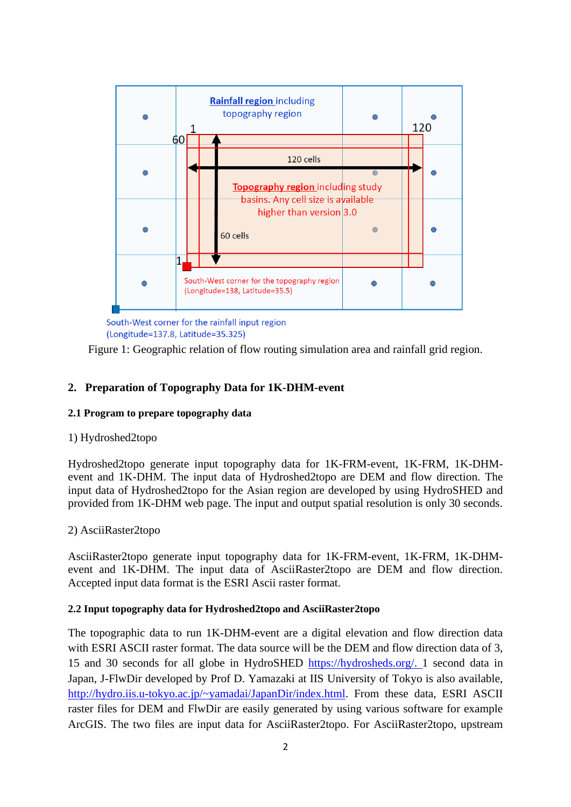

South-West corner for the rainfall input region (Longitude=137.8, Latitude=35.325)

Figure 1: Geographic relation of flow routing simulation area and rainfall grid region.

# **2. Preparation of Topography Data for 1K-DHM-event**

#### **2.1 Program to prepare topography data**

#### 1) Hydroshed2topo

Hydroshed2topo generate input topography data for 1K-FRM-event, 1K-FRM, 1K-DHMevent and 1K-DHM. The input data of Hydroshed2topo are DEM and flow direction. The input data of Hydroshed2topo for the Asian region are developed by using HydroSHED and provided from 1K-DHM web page. The input and output spatial resolution is only 30 seconds.

## 2) AsciiRaster2topo

AsciiRaster2topo generate input topography data for 1K-FRM-event, 1K-FRM, 1K-DHMevent and 1K-DHM. The input data of AsciiRaster2topo are DEM and flow direction. Accepted input data format is the ESRI Ascii raster format.

#### **2.2 Input topography data for Hydroshed2topo and AsciiRaster2topo**

The topographic data to run 1K-DHM-event are a digital elevation and flow direction data with ESRI ASCII raster format. The data source will be the DEM and flow direction data of 3, 15 and 30 seconds for all globe in HydroSHED [https://hydrosheds.org/.](https://hydrosheds.org/) 1 second data in Japan, J-FlwDir developed by Prof D. Yamazaki at IIS University of Tokyo is also available, [http://hydro.iis.u-tokyo.ac.jp/~yamadai/JapanDir/index.html.](http://hydro.iis.u-tokyo.ac.jp/~yamadai/JapanDir/index.html) From these data, ESRI ASCII raster files for DEM and FlwDir are easily generated by using various software for example ArcGIS. The two files are input data for AsciiRaster2topo. For AsciiRaster2topo, upstream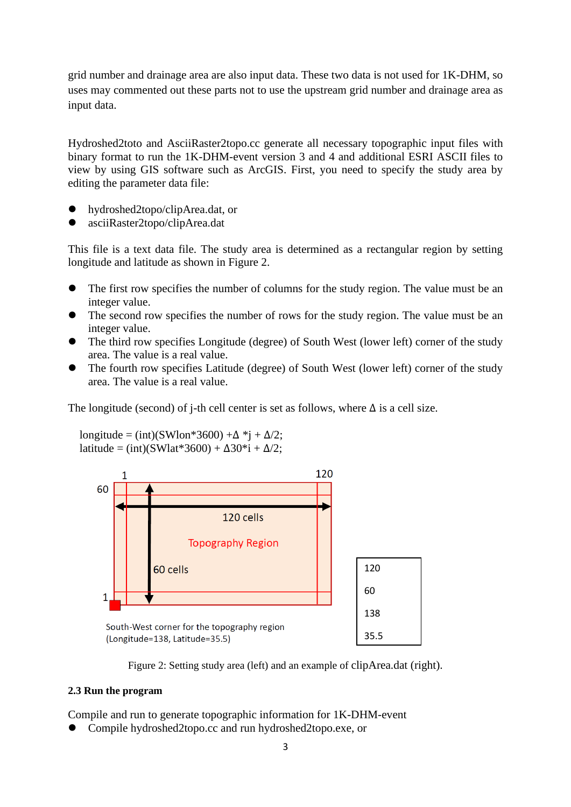grid number and drainage area are also input data. These two data is not used for 1K-DHM, so uses may commented out these parts not to use the upstream grid number and drainage area as input data.

Hydroshed2toto and AsciiRaster2topo.cc generate all necessary topographic input files with binary format to run the 1K-DHM-event version 3 and 4 and additional ESRI ASCII files to view by using GIS software such as ArcGIS. First, you need to specify the study area by editing the parameter data file:

- ⚫ hydroshed2topo/clipArea.dat, or
- ⚫ asciiRaster2topo/clipArea.dat

This file is a text data file. The study area is determined as a rectangular region by setting longitude and latitude as shown in Figure 2.

- The first row specifies the number of columns for the study region. The value must be an integer value.
- The second row specifies the number of rows for the study region. The value must be an integer value.
- The third row specifies Longitude (degree) of South West (lower left) corner of the study area. The value is a real value.
- ⚫ The fourth row specifies Latitude (degree) of South West (lower left) corner of the study area. The value is a real value.

The longitude (second) of j-th cell center is set as follows, where  $\Delta$  is a cell size.

longitude = (int)(SWlon\*3600) + $\Delta$  \*j +  $\Delta/2$ ; latitude = (int)(SWlat\*3600) +  $\Delta$ 30\*i +  $\Delta/2$ ;



Figure 2: Setting study area (left) and an example of clipArea.dat (right).

#### **2.3 Run the program**

Compile and run to generate topographic information for 1K-DHM-event

⚫ Compile hydroshed2topo.cc and run hydroshed2topo.exe, or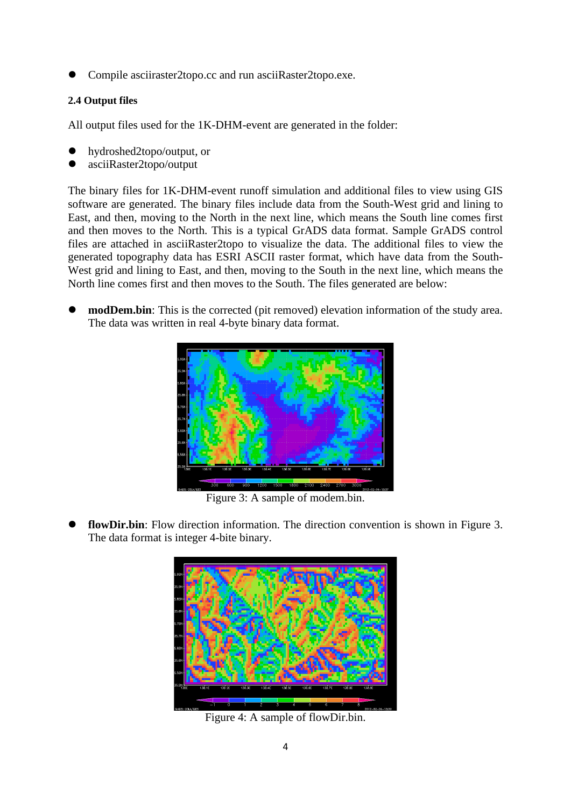⚫ Compile asciiraster2topo.cc and run asciiRaster2topo.exe.

### **2.4 Output files**

All output files used for the 1K-DHM-event are generated in the folder:

- ⚫ hydroshed2topo/output, or
- ⚫ asciiRaster2topo/output

The binary files for 1K-DHM-event runoff simulation and additional files to view using GIS software are generated. The binary files include data from the South-West grid and lining to East, and then, moving to the North in the next line, which means the South line comes first and then moves to the North. This is a typical GrADS data format. Sample GrADS control files are attached in asciiRaster2topo to visualize the data. The additional files to view the generated topography data has ESRI ASCII raster format, which have data from the South-West grid and lining to East, and then, moving to the South in the next line, which means the North line comes first and then moves to the South. The files generated are below:

**modDem.bin**: This is the corrected (pit removed) elevation information of the study area. The data was written in real 4-byte binary data format.



Figure 3: A sample of modem.bin.

flowDir.bin: Flow direction information. The direction convention is shown in Figure 3. The data format is integer 4-bite binary.



Figure 4: A sample of flowDir.bin.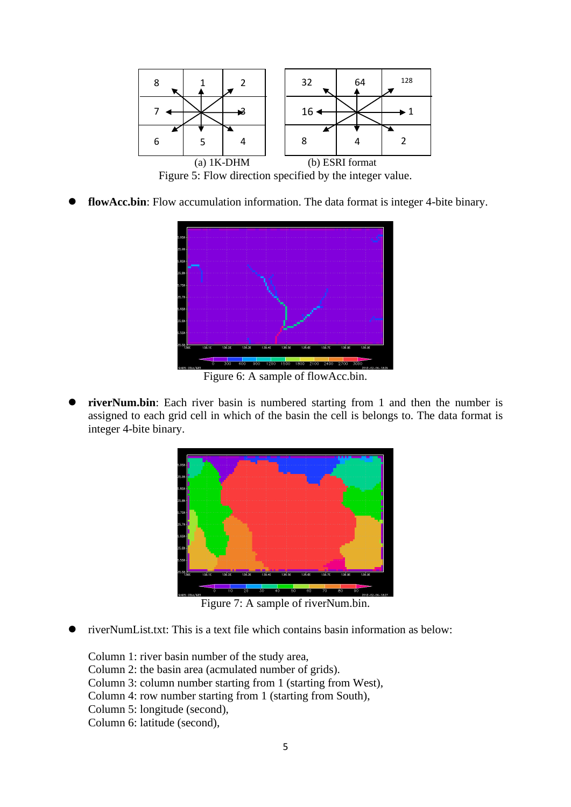

flowAcc.bin: Flow accumulation information. The data format is integer 4-bite binary.



Figure 6: A sample of flowAcc.bin.

riverNum.bin: Each river basin is numbered starting from 1 and then the number is assigned to each grid cell in which of the basin the cell is belongs to. The data format is integer 4-bite binary.



Figure 7: A sample of riverNum.bin.

⚫ riverNumList.txt: This is a text file which contains basin information as below:

Column 1: river basin number of the study area, Column 2: the basin area (acmulated number of grids). Column 3: column number starting from 1 (starting from West), Column 4: row number starting from 1 (starting from South), Column 5: longitude (second), Column 6: latitude (second),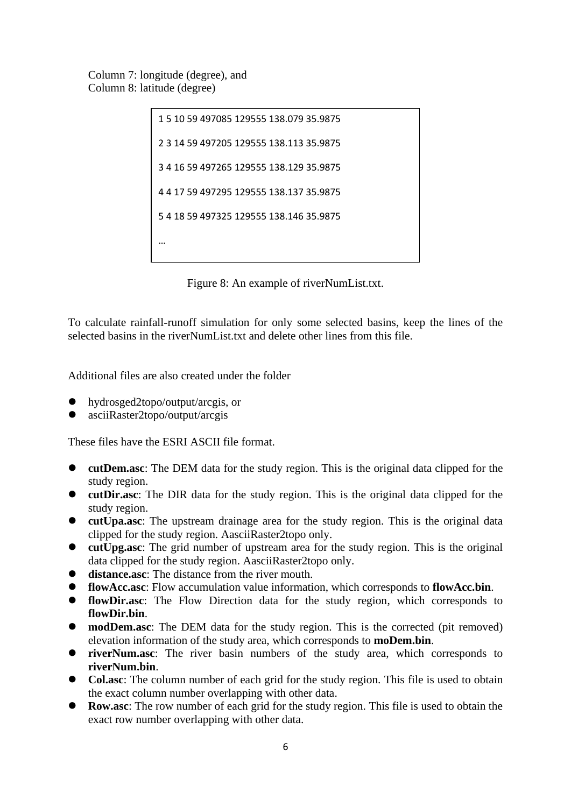Column 7: longitude (degree), and Column 8: latitude (degree)

```
1 5 10 59 497085 129555 138.079 35.9875
2 3 14 59 497205 129555 138.113 35.9875
3 4 16 59 497265 129555 138.129 35.9875
4 4 17 59 497295 129555 138.137 35.9875
5 4 18 59 497325 129555 138.146 35.9875
…
```
Figure 8: An example of riverNumList.txt.

To calculate rainfall-runoff simulation for only some selected basins, keep the lines of the selected basins in the riverNumList.txt and delete other lines from this file.

Additional files are also created under the folder

- ⚫ hydrosged2topo/output/arcgis, or
- ⚫ asciiRaster2topo/output/arcgis

These files have the ESRI ASCII file format.

- ⚫ **cutDem.asc**: The DEM data for the study region. This is the original data clipped for the study region.
- ⚫ **cutDir.asc**: The DIR data for the study region. This is the original data clipped for the study region.
- ⚫ **cutUpa.asc**: The upstream drainage area for the study region. This is the original data clipped for the study region. AasciiRaster2topo only.
- ⚫ **cutUpg.asc**: The grid number of upstream area for the study region. This is the original data clipped for the study region. AasciiRaster2topo only.
- ⚫ **distance.asc**: The distance from the river mouth.
- ⚫ **flowAcc.asc**: Flow accumulation value information, which corresponds to **flowAcc.bin**.
- ⚫ **flowDir.asc**: The Flow Direction data for the study region, which corresponds to **flowDir.bin**.
- ⚫ **modDem.asc**: The DEM data for the study region. This is the corrected (pit removed) elevation information of the study area, which corresponds to **moDem.bin**.
- ⚫ **riverNum.asc**: The river basin numbers of the study area, which corresponds to **riverNum.bin**.
- ⚫ **Col.asc**: The column number of each grid for the study region. This file is used to obtain the exact column number overlapping with other data.
- **Row.asc**: The row number of each grid for the study region. This file is used to obtain the exact row number overlapping with other data.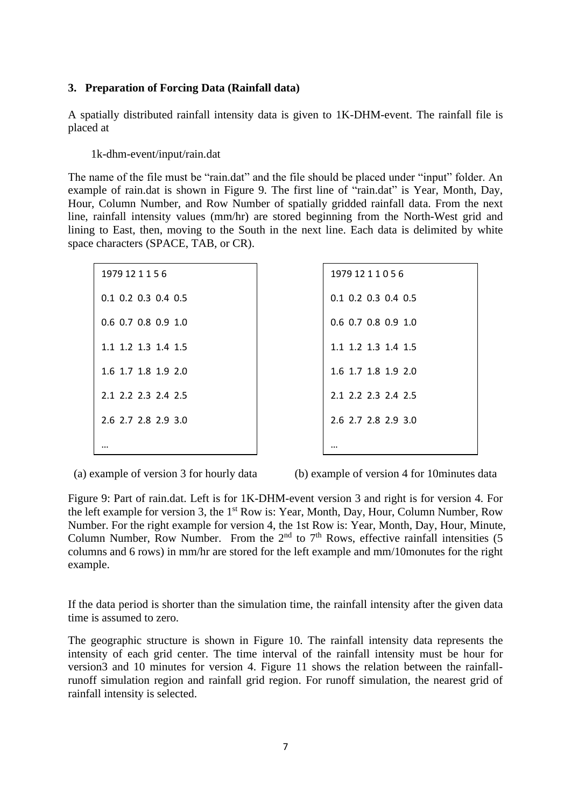#### **3. Preparation of Forcing Data (Rainfall data)**

A spatially distributed rainfall intensity data is given to 1K-DHM-event. The rainfall file is placed at

1k-dhm-event/input/rain.dat

The name of the file must be "rain.dat" and the file should be placed under "input" folder. An example of rain.dat is shown in Figure 9. The first line of "rain.dat" is Year, Month, Day, Hour, Column Number, and Row Number of spatially gridded rainfall data. From the next line, rainfall intensity values (mm/hr) are stored beginning from the North-West grid and lining to East, then, moving to the South in the next line. Each data is delimited by white space characters (SPACE, TAB, or CR).

| 1979 12 1 1 5 6       |
|-----------------------|
| $0.1$ 0.2 0.3 0.4 0.5 |
| 0.6 0.7 0.8 0.9 1.0   |
| 1.1 1.2 1.3 1.4 1.5   |
| 1.6 1.7 1.8 1.9 2.0   |
| 2.1 2.2 2.3 2.4 2.5   |
| 2.6 2.7 2.8 2.9 3.0   |
|                       |

| 1979 12 1 1 0 5 6     |
|-----------------------|
| $0.1$ 0.2 0.3 0.4 0.5 |
| 0.6 0.7 0.8 0.9 1.0   |
| 1.1 1.2 1.3 1.4 1.5   |
| 1.6 1.7 1.8 1.9 2.0   |
| 2.1 2.2 2.3 2.4 2.5   |
| 2.6 2.7 2.8 2.9 3.0   |
|                       |

(a) example of version 3 for hourly data (b) example of version 4 for 10minutes data

Figure 9: Part of rain.dat. Left is for 1K-DHM-event version 3 and right is for version 4. For the left example for version 3, the 1<sup>st</sup> Row is: Year, Month, Day, Hour, Column Number, Row Number. For the right example for version 4, the 1st Row is: Year, Month, Day, Hour, Minute, Column Number, Row Number. From the  $2<sup>nd</sup>$  to  $7<sup>th</sup>$  Rows, effective rainfall intensities (5) columns and 6 rows) in mm/hr are stored for the left example and mm/10monutes for the right example.

 $\overline{\phantom{a}}$ 

If the data period is shorter than the simulation time, the rainfall intensity after the given data time is assumed to zero.

The geographic structure is shown in Figure 10. The rainfall intensity data represents the intensity of each grid center. The time interval of the rainfall intensity must be hour for version3 and 10 minutes for version 4. Figure 11 shows the relation between the rainfallrunoff simulation region and rainfall grid region. For runoff simulation, the nearest grid of rainfall intensity is selected.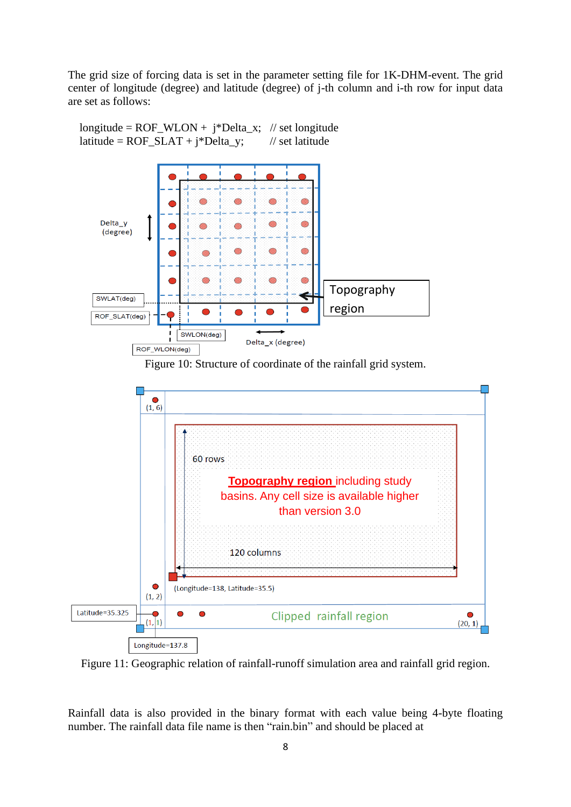The grid size of forcing data is set in the parameter setting file for 1K-DHM-event. The grid center of longitude (degree) and latitude (degree) of j-th column and i-th row for input data are set as follows:



longitude =  $ROF_WLON + j^*Delta_x$ ; // set longitude

Figure 11: Geographic relation of rainfall-runoff simulation area and rainfall grid region.

Rainfall data is also provided in the binary format with each value being 4-byte floating number. The rainfall data file name is then "rain.bin" and should be placed at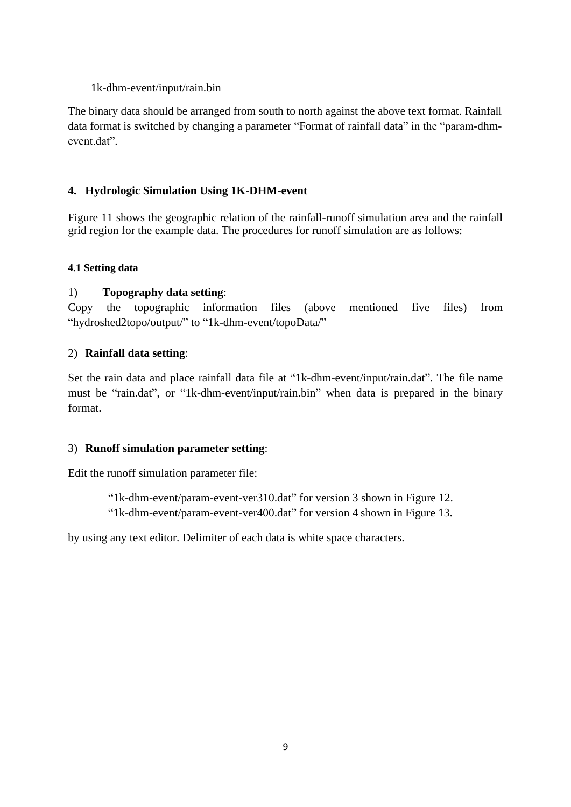#### 1k-dhm-event/input/rain.bin

The binary data should be arranged from south to north against the above text format. Rainfall data format is switched by changing a parameter "Format of rainfall data" in the "param-dhmevent.dat".

# **4. Hydrologic Simulation Using 1K-DHM-event**

Figure 11 shows the geographic relation of the rainfall-runoff simulation area and the rainfall grid region for the example data. The procedures for runoff simulation are as follows:

## **4.1 Setting data**

## 1) **Topography data setting**:

Copy the topographic information files (above mentioned five files) from "hydroshed2topo/output/" to "1k-dhm-event/topoData/"

## 2) **Rainfall data setting**:

Set the rain data and place rainfall data file at "1k-dhm-event/input/rain.dat". The file name must be "rain.dat", or "1k-dhm-event/input/rain.bin" when data is prepared in the binary format.

## 3) **Runoff simulation parameter setting**:

Edit the runoff simulation parameter file:

"1k-dhm-event/param-event-ver310.dat" for version 3 shown in Figure 12. "1k-dhm-event/param-event-ver400.dat" for version 4 shown in Figure 13.

by using any text editor. Delimiter of each data is white space characters.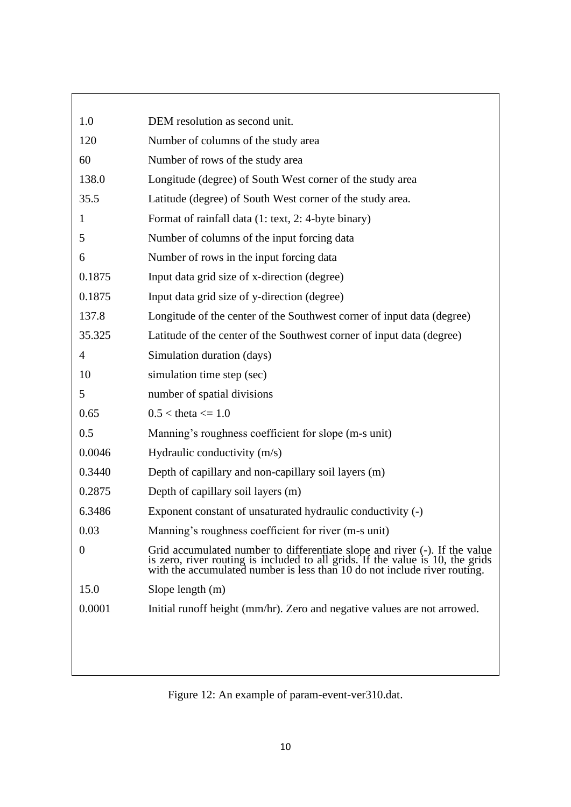| 1.0            | DEM resolution as second unit.                                                                                                                                                                                                  |
|----------------|---------------------------------------------------------------------------------------------------------------------------------------------------------------------------------------------------------------------------------|
| 120            | Number of columns of the study area                                                                                                                                                                                             |
| 60             | Number of rows of the study area                                                                                                                                                                                                |
| 138.0          | Longitude (degree) of South West corner of the study area                                                                                                                                                                       |
| 35.5           | Latitude (degree) of South West corner of the study area.                                                                                                                                                                       |
| 1              | Format of rainfall data (1: text, 2: 4-byte binary)                                                                                                                                                                             |
| 5              | Number of columns of the input forcing data                                                                                                                                                                                     |
| 6              | Number of rows in the input forcing data                                                                                                                                                                                        |
| 0.1875         | Input data grid size of x-direction (degree)                                                                                                                                                                                    |
| 0.1875         | Input data grid size of y-direction (degree)                                                                                                                                                                                    |
| 137.8          | Longitude of the center of the Southwest corner of input data (degree)                                                                                                                                                          |
| 35.325         | Latitude of the center of the Southwest corner of input data (degree)                                                                                                                                                           |
| $\overline{4}$ | Simulation duration (days)                                                                                                                                                                                                      |
| 10             | simulation time step (sec)                                                                                                                                                                                                      |
| 5              | number of spatial divisions                                                                                                                                                                                                     |
| 0.65           | $0.5 <$ theta $<= 1.0$                                                                                                                                                                                                          |
| 0.5            | Manning's roughness coefficient for slope (m-s unit)                                                                                                                                                                            |
| 0.0046         | Hydraulic conductivity (m/s)                                                                                                                                                                                                    |
| 0.3440         | Depth of capillary and non-capillary soil layers (m)                                                                                                                                                                            |
| 0.2875         | Depth of capillary soil layers (m)                                                                                                                                                                                              |
| 6.3486         | Exponent constant of unsaturated hydraulic conductivity (-)                                                                                                                                                                     |
| 0.03           | Manning's roughness coefficient for river (m-s unit)                                                                                                                                                                            |
| $\theta$       | Grid accumulated number to differentiate slope and river $(-)$ . If the value is zero, river routing is included to all grids. If the value is 10, the grids with the accumulated number is less than 10 do not include river r |
| 15.0           | Slope length $(m)$                                                                                                                                                                                                              |
| 0.0001         | Initial runoff height (mm/hr). Zero and negative values are not arrowed.                                                                                                                                                        |
|                |                                                                                                                                                                                                                                 |
|                |                                                                                                                                                                                                                                 |
|                |                                                                                                                                                                                                                                 |

Figure 12: An example of param-event-ver310.dat.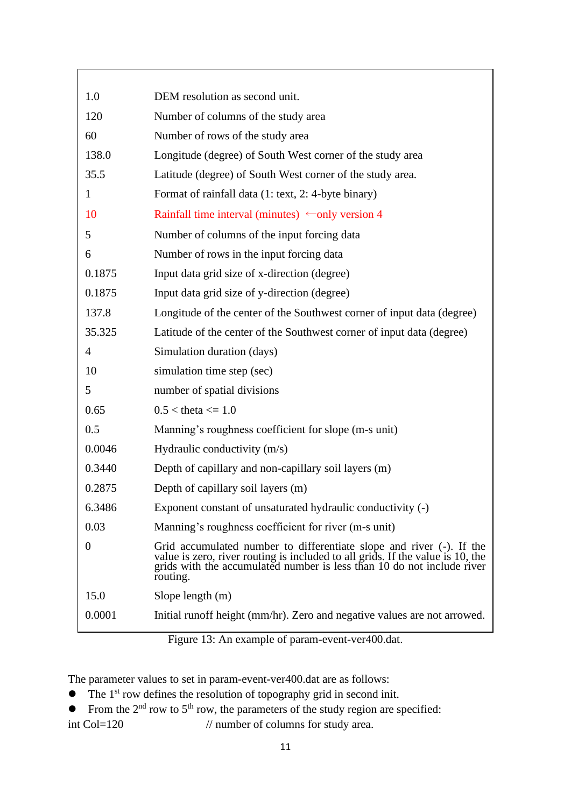| 1.0            | DEM resolution as second unit.                                                                                                                                                                                                            |
|----------------|-------------------------------------------------------------------------------------------------------------------------------------------------------------------------------------------------------------------------------------------|
| 120            | Number of columns of the study area                                                                                                                                                                                                       |
| 60             | Number of rows of the study area                                                                                                                                                                                                          |
| 138.0          | Longitude (degree) of South West corner of the study area                                                                                                                                                                                 |
| 35.5           | Latitude (degree) of South West corner of the study area.                                                                                                                                                                                 |
| 1              | Format of rainfall data (1: text, 2: 4-byte binary)                                                                                                                                                                                       |
| 10             | Rainfall time interval (minutes) $\leftarrow$ only version 4                                                                                                                                                                              |
| 5              | Number of columns of the input forcing data                                                                                                                                                                                               |
| 6              | Number of rows in the input forcing data                                                                                                                                                                                                  |
| 0.1875         | Input data grid size of x-direction (degree)                                                                                                                                                                                              |
| 0.1875         | Input data grid size of y-direction (degree)                                                                                                                                                                                              |
| 137.8          | Longitude of the center of the Southwest corner of input data (degree)                                                                                                                                                                    |
| 35.325         | Latitude of the center of the Southwest corner of input data (degree)                                                                                                                                                                     |
| $\overline{4}$ | Simulation duration (days)                                                                                                                                                                                                                |
| 10             | simulation time step (sec)                                                                                                                                                                                                                |
| 5              | number of spatial divisions                                                                                                                                                                                                               |
| 0.65           | $0.5 <$ theta $\leq 1.0$                                                                                                                                                                                                                  |
| 0.5            | Manning's roughness coefficient for slope (m-s unit)                                                                                                                                                                                      |
| 0.0046         | Hydraulic conductivity (m/s)                                                                                                                                                                                                              |
| 0.3440         | Depth of capillary and non-capillary soil layers (m)                                                                                                                                                                                      |
| 0.2875         | Depth of capillary soil layers (m)                                                                                                                                                                                                        |
| 6.3486         | Exponent constant of unsaturated hydraulic conductivity (-)                                                                                                                                                                               |
| 0.03           | Manning's roughness coefficient for river (m-s unit)                                                                                                                                                                                      |
| $\theta$       | Grid accumulated number to differentiate slope and river $(-)$ . If the value is zero, river routing is included to all grids. If the value is 10, the grids with the accumulated number is less than 10 do not include river<br>routing. |
| 15.0           | Slope length $(m)$                                                                                                                                                                                                                        |
| 0.0001         | Initial runoff height (mm/hr). Zero and negative values are not arrowed.                                                                                                                                                                  |

Figure 13: An example of param-event-ver400.dat.

The parameter values to set in param-event-ver400.dat are as follows:

- The 1<sup>st</sup> row defines the resolution of topography grid in second init.
- From the  $2<sup>nd</sup>$  row to  $5<sup>th</sup>$  row, the parameters of the study region are specified: int Col=120 // number of columns for study area.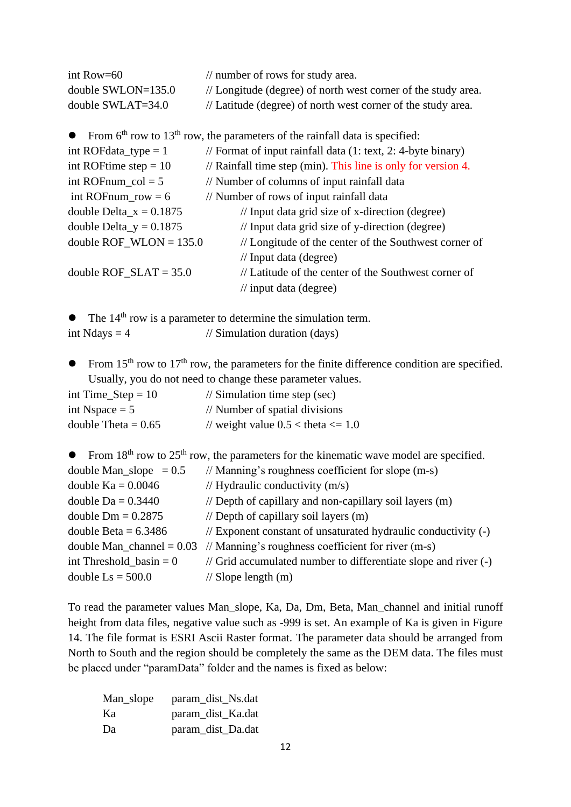| int Row= $60$        | $\frac{1}{2}$ number of rows for study area.                  |
|----------------------|---------------------------------------------------------------|
| double $SWLON=135.0$ | // Longitude (degree) of north west corner of the study area. |
| double $SWLAT=34.0$  | // Latitude (degree) of north west corner of the study area.  |

• From  $6<sup>th</sup>$  row to  $13<sup>th</sup>$  row, the parameters of the rainfall data is specified:

| int ROF data type $= 1$   | // Format of input rainfall data $(1: text, 2: 4-byte binary)$ |
|---------------------------|----------------------------------------------------------------|
| int ROFtime step = $10$   | // Rainfall time step (min). This line is only for version 4.  |
| int ROFnum $col = 5$      | // Number of columns of input rainfall data                    |
| int ROFnum_row = $6$      | // Number of rows of input rainfall data                       |
| double Delta $x = 0.1875$ | // Input data grid size of x-direction (degree)                |
| double Delta_y = $0.1875$ | // Input data grid size of y-direction (degree)                |
| double ROF_WLON = $135.0$ | // Longitude of the center of the Southwest corner of          |
|                           | $\frac{1}{2}$ Input data (degree)                              |
| double ROF $SLAT = 35.0$  | // Latitude of the center of the Southwest corner of           |
|                           | $\frac{1}{2}$ input data (degree)                              |

- The 14<sup>th</sup> row is a parameter to determine the simulation term. int Ndays  $= 4$  // Simulation duration (days)
- From 15<sup>th</sup> row to 17<sup>th</sup> row, the parameters for the finite difference condition are specified. Usually, you do not need to change these parameter values.

| int Time_Step = $10$  | $\frac{1}{2}$ Simulation time step (sec) |
|-----------------------|------------------------------------------|
| int Nspace $= 5$      | // Number of spatial divisions           |
| double Theta = $0.65$ | // weight value $0.5 <$ theta $\leq 1.0$ |

• From  $18<sup>th</sup>$  row to  $25<sup>th</sup>$  row, the parameters for the kinematic wave model are specified.

| double Man_slope $= 0.5$    | $\frac{1}{2}$ Manning's roughness coefficient for slope (m-s)   |
|-----------------------------|-----------------------------------------------------------------|
| double $Ka = 0.0046$        | // Hydraulic conductivity $(m/s)$                               |
| double $Da = 0.3440$        | // Depth of capillary and non-capillary soil layers (m)         |
| double $Dm = 0.2875$        | // Depth of capillary soil layers $(m)$                         |
| double Beta = $6.3486$      | // Exponent constant of unsaturated hydraulic conductivity (-)  |
| double Man channel $= 0.03$ | // Manning's roughness coefficient for river $(m-s)$            |
| int Threshold basin $= 0$   | // Grid accumulated number to differentiate slope and river (-) |
| double $\text{Ls} = 500.0$  | $\frac{1}{2}$ Slope length (m)                                  |

To read the parameter values Man\_slope, Ka, Da, Dm, Beta, Man\_channel and initial runoff height from data files, negative value such as -999 is set. An example of Ka is given in Figure 14. The file format is ESRI Ascii Raster format. The parameter data should be arranged from North to South and the region should be completely the same as the DEM data. The files must be placed under "paramData" folder and the names is fixed as below:

| Man_slope | param_dist_Ns.dat |
|-----------|-------------------|
| Ka        | param_dist_Ka.dat |
| Da        | param_dist_Da.dat |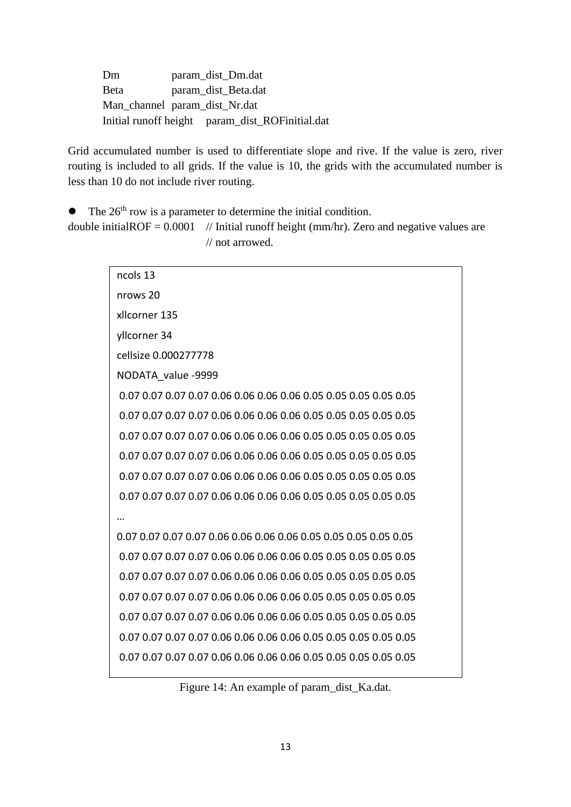Dm param\_dist\_Dm.dat Beta param\_dist\_Beta.dat Man\_channel param\_dist\_Nr.dat Initial runoff height param\_dist\_ROFinitial.dat

Grid accumulated number is used to differentiate slope and rive. If the value is zero, river routing is included to all grids. If the value is 10, the grids with the accumulated number is less than 10 do not include river routing.

• The 26<sup>th</sup> row is a parameter to determine the initial condition.

double initialROF =  $0.0001$  // Initial runoff height (mm/hr). Zero and negative values are // not arrowed.

| ncols 13             |  |
|----------------------|--|
| nrows 20             |  |
| xllcorner 135        |  |
| yllcorner 34         |  |
| cellsize 0.000277778 |  |
| NODATA value -9999   |  |
|                      |  |
|                      |  |
|                      |  |
|                      |  |
|                      |  |
|                      |  |
|                      |  |
|                      |  |
|                      |  |
|                      |  |
|                      |  |
|                      |  |
|                      |  |
|                      |  |
|                      |  |

Figure 14: An example of param\_dist\_Ka.dat.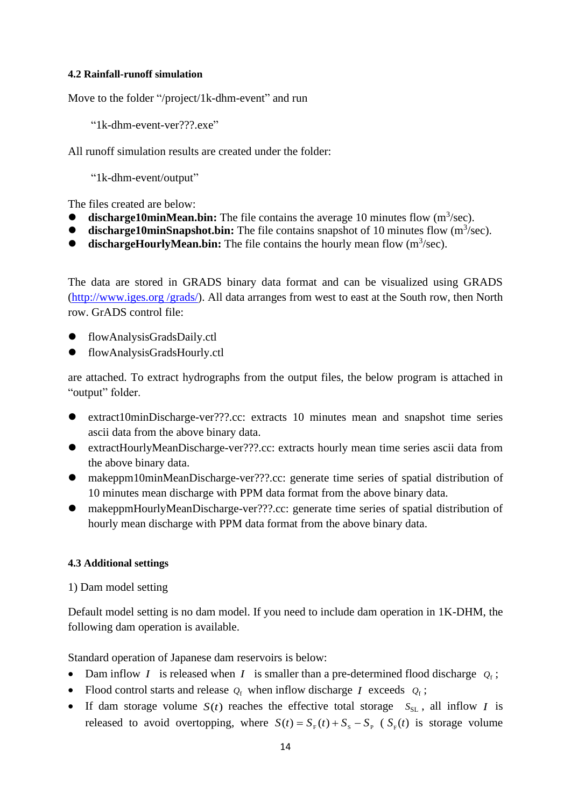#### **4.2 Rainfall-runoff simulation**

Move to the folder "/project/1k-dhm-event" and run

"1k-dhm-event-ver???.exe"

All runoff simulation results are created under the folder:

"1k-dhm-event/output"

The files created are below:

- $\bullet$  **discharge10minMean.bin:** The file contains the average 10 minutes flow  $(m^3/sec)$ .
- **discharge10minSnapshot.bin:** The file contains snapshot of 10 minutes flow (m<sup>3</sup>/sec).
- **dischargeHourlyMean.bin:** The file contains the hourly mean flow (m<sup>3</sup>/sec).

The data are stored in GRADS binary data format and can be visualized using GRADS (http://www.iges.org /grads/). All data arranges from west to east at the South row, then North row. GrADS control file:

- flowAnalysisGradsDaily.ctl
- flowAnalysisGradsHourly.ctl

are attached. To extract hydrographs from the output files, the below program is attached in "output" folder.

- extract10minDischarge-ver???.cc: extracts 10 minutes mean and snapshot time series ascii data from the above binary data.
- ⚫ extractHourlyMeanDischarge-ver???.cc: extracts hourly mean time series ascii data from the above binary data.
- ⚫ makeppm10minMeanDischarge-ver???.cc: generate time series of spatial distribution of 10 minutes mean discharge with PPM data format from the above binary data.
- ⚫ makeppmHourlyMeanDischarge-ver???.cc: generate time series of spatial distribution of hourly mean discharge with PPM data format from the above binary data.

## **4.3 Additional settings**

## 1) Dam model setting

Default model setting is no dam model. If you need to include dam operation in 1K-DHM, the following dam operation is available.

Standard operation of Japanese dam reservoirs is below:

- Dam inflow *I* is released when *I* is smaller than a pre-determined flood discharge  $Q_f$ ;
- Flood control starts and release  $Q_f$  when inflow discharge *I* exceeds  $Q_f$ ;
- If dam storage volume  $S(t)$  reaches the effective total storage  $S_{SL}$ , all inflow *I* is released to avoid overtopping, where  $S(t) = S_F(t) + S_S - S_P$  ( $S_F(t)$  is storage volume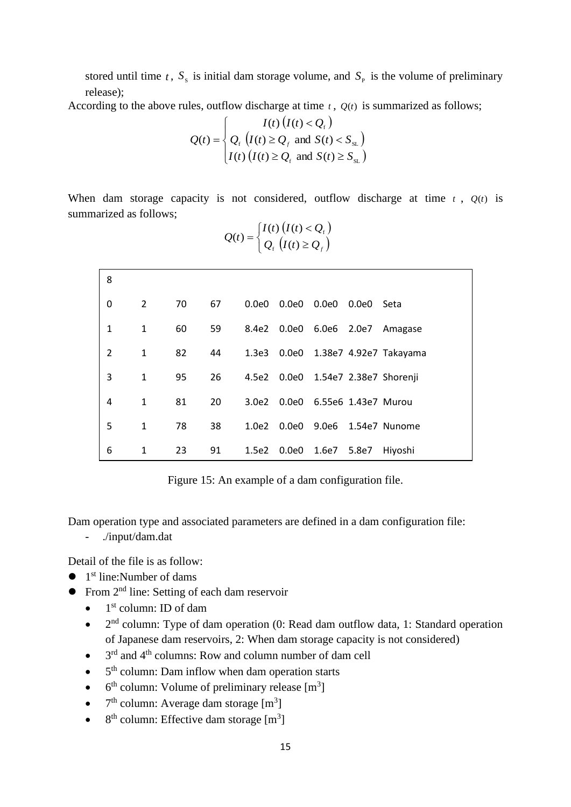stored until time t,  $S_s$  is initial dam storage volume, and  $S_p$  is the volume of preliminary release);

According to the above rules, outflow discharge at time  $t$ ,  $Q(t)$  is summarized as follows;

$$
Q(t) = \begin{cases} I(t) (I(t) < Q_{\mathrm{r}}) \\ Q_{\mathrm{r}} (I(t) \geq Q_{\mathrm{r}} \text{ and } S(t) < S_{\mathrm{SL}}) \\ I(t) (I(t) \geq Q_{\mathrm{r}} \text{ and } S(t) \geq S_{\mathrm{SL}}) \end{cases}
$$

When dam storage capacity is not considered, outflow discharge at time  $t$ ,  $Q(t)$  is summarized as follows;

 $\left( t\right) \left( I(t)\right)$ 

*I*  $(I(t)$   $(I(t) < Q$ 

 $(I(t) < Q_{\rm f})$ 

f

| 8              |              |    |    |       |             |                           |       |                                    |
|----------------|--------------|----|----|-------|-------------|---------------------------|-------|------------------------------------|
| $\Omega$       | 2            | 70 | 67 | 0.0e0 |             | 0.0e0  0.0e0  0.0e0       |       | Seta                               |
| $\mathbf{1}$   | 1            | 60 | 59 | 8.4e2 |             | 0.0e0 6.0e6 2.0e7         |       | Amagase                            |
| $\overline{2}$ | $\mathbf{1}$ | 82 | 44 |       |             |                           |       | 1.3e3 0.0e0 1.38e7 4.92e7 Takayama |
| 3              | 1            | 95 | 26 | 4.5e2 |             |                           |       | 0.0e0 1.54e7 2.38e7 Shorenji       |
| 4              | $\mathbf{1}$ | 81 | 20 | 3.0e2 |             | 0.0e0 6.55e6 1.43e7 Murou |       |                                    |
| 5              | $\mathbf{1}$ | 78 | 38 | 1.0e2 | 0.0e0 9.0e6 |                           |       | 1.54e7 Nunome                      |
| 6              | 1            | 23 | 91 | 1.5e2 |             | 0.0e0 1.6e7               | 5.8e7 | Hiyoshi                            |

 $\left\{\begin{array}{c} \circ \\ Q_{\rm f} \end{array}\left(I(t) \geq Q_{\rm f}\right)\right\}$ ≥  $=\begin{cases} I(t) (I(t) < Q) \\ Q_{\text{f}} (I(t) \geq Q_{\text{f}}) \end{cases}$  $Q(t) = \begin{cases} Q_{\rm f} (t) \end{cases}$  $(t)$ f

ſ

Figure 15: An example of a dam configuration file.

Dam operation type and associated parameters are defined in a dam configuration file:

- ./input/dam.dat

Detail of the file is as follow:

- $\bullet$  1<sup>st</sup> line: Number of dams
- From 2<sup>nd</sup> line: Setting of each dam reservoir
	- $\bullet$  1<sup>st</sup> column: ID of dam
	- $\bullet$   $2<sup>nd</sup>$  column: Type of dam operation (0: Read dam outflow data, 1: Standard operation of Japanese dam reservoirs, 2: When dam storage capacity is not considered)
	- $\bullet$  $3<sup>rd</sup>$  and  $4<sup>th</sup>$  columns: Row and column number of dam cell
	- $\bullet$  $5<sup>th</sup>$  column: Dam inflow when dam operation starts
	- $\bullet$ <sup>th</sup> column: Volume of preliminary release [m<sup>3</sup>]
	- $7<sup>th</sup>$  column: Average dam storage  $[m<sup>3</sup>]$
	- $\bullet$ <sup>th</sup> column: Effective dam storage [m<sup>3</sup>]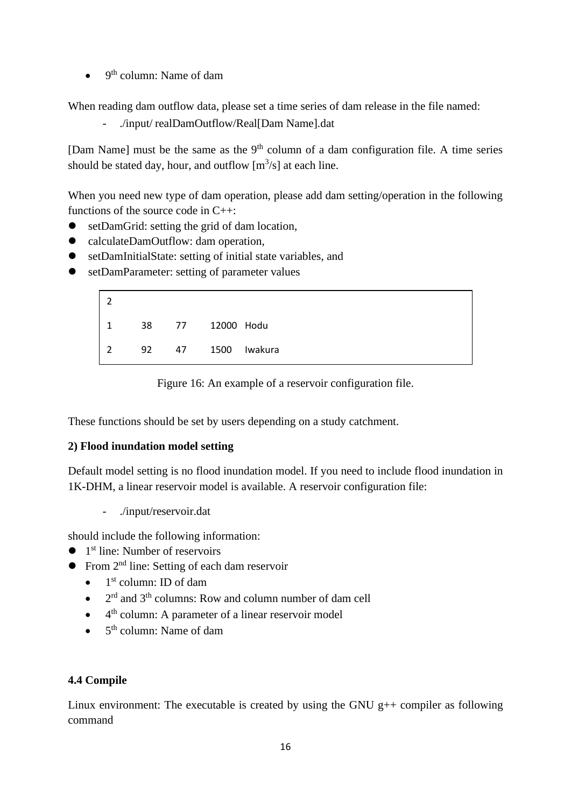$\bullet$  9<sup>th</sup> column: Name of dam

When reading dam outflow data, please set a time series of dam release in the file named:

- ./input/ realDamOutflow/Real[Dam Name].dat

[Dam Name] must be the same as the  $9<sup>th</sup>$  column of a dam configuration file. A time series should be stated day, hour, and outflow  $[m^3/s]$  at each line.

When you need new type of dam operation, please add dam setting/operation in the following functions of the source code in C++:

- setDamGrid: setting the grid of dam location.
- calculateDamOutflow: dam operation,
- setDamInitialState: setting of initial state variables, and
- setDamParameter: setting of parameter values

|               | 38 |    | 77 12000 Hodu |         |
|---------------|----|----|---------------|---------|
| $\mathcal{P}$ | 92 | 47 | 1500          | Iwakura |

Figure 16: An example of a reservoir configuration file.

These functions should be set by users depending on a study catchment.

## **2) Flood inundation model setting**

Default model setting is no flood inundation model. If you need to include flood inundation in 1K-DHM, a linear reservoir model is available. A reservoir configuration file:

- ./input/reservoir.dat

should include the following information:

- $\bullet$  1<sup>st</sup> line: Number of reservoirs
- $\bullet$  From  $2<sup>nd</sup>$  line: Setting of each dam reservoir
	- $\bullet$  $1<sup>st</sup>$  column: ID of dam
	- $\bullet$ <sup>rd</sup> and 3<sup>th</sup> columns: Row and column number of dam cell
	- $\bullet$  4<sup>th</sup> column: A parameter of a linear reservoir model
	- $\bullet$  $5<sup>th</sup>$  column: Name of dam

## **4.4 Compile**

Linux environment: The executable is created by using the GNU  $g++$  compiler as following command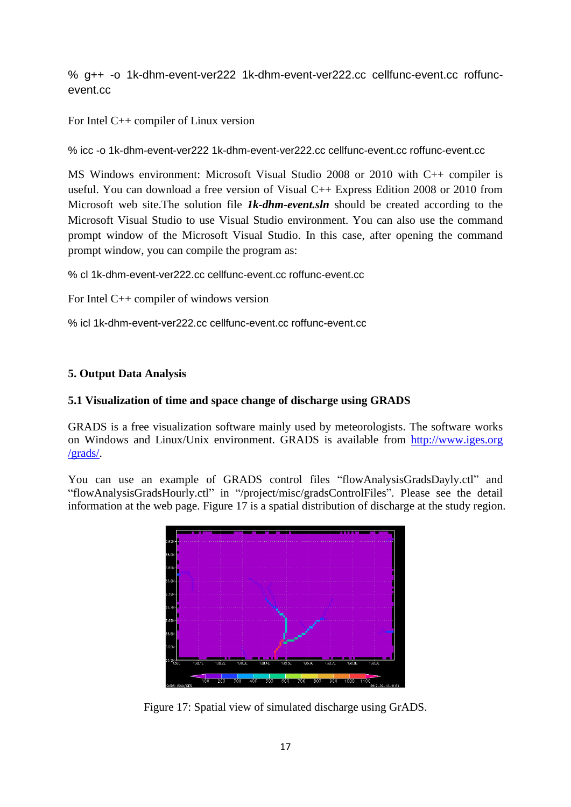% g++ -o 1k-dhm-event-ver222 1k-dhm-event-ver222.cc cellfunc-event.cc roffuncevent.cc

For Intel C++ compiler of Linux version

% icc -o 1k-dhm-event-ver222 1k-dhm-event-ver222.cc cellfunc-event.cc roffunc-event.cc

MS Windows environment: Microsoft Visual Studio 2008 or 2010 with C++ compiler is useful. You can download a free version of Visual C++ Express Edition 2008 or 2010 from Microsoft web site.The solution file *1k-dhm-event.sln* should be created according to the Microsoft Visual Studio to use Visual Studio environment. You can also use the command prompt window of the Microsoft Visual Studio. In this case, after opening the command prompt window, you can compile the program as:

% cl 1k-dhm-event-ver222.cc cellfunc-event.cc roffunc-event.cc

For Intel C++ compiler of windows version

% icl 1k-dhm-event-ver222.cc cellfunc-event.cc roffunc-event.cc

#### **5. Output Data Analysis**

#### **5.1 Visualization of time and space change of discharge using GRADS**

GRADS is a free visualization software mainly used by meteorologists. The software works on Windows and Linux/Unix environment. GRADS is available from http://www.iges.org /grads/.

You can use an example of GRADS control files "flowAnalysisGradsDayly.ctl" and "flowAnalysisGradsHourly.ctl" in "/project/misc/gradsControlFiles". Please see the detail information at the web page. Figure 17 is a spatial distribution of discharge at the study region.



Figure 17: Spatial view of simulated discharge using GrADS.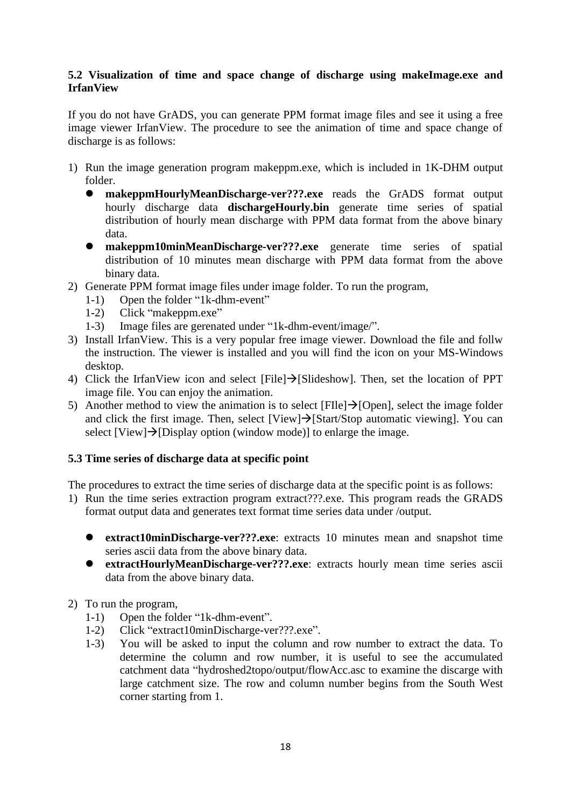# **5.2 Visualization of time and space change of discharge using makeImage.exe and IrfanView**

If you do not have GrADS, you can generate PPM format image files and see it using a free image viewer IrfanView. The procedure to see the animation of time and space change of discharge is as follows:

- 1) Run the image generation program makeppm.exe, which is included in 1K-DHM output folder.
	- ⚫ **makeppmHourlyMeanDischarge-ver???.exe** reads the GrADS format output hourly discharge data **dischargeHourly.bin** generate time series of spatial distribution of hourly mean discharge with PPM data format from the above binary data.
	- ⚫ **makeppm10minMeanDischarge-ver???.exe** generate time series of spatial distribution of 10 minutes mean discharge with PPM data format from the above binary data.
- 2) Generate PPM format image files under image folder. To run the program,
	- 1-1) Open the folder "1k-dhm-event"
	- 1-2) Click "makeppm.exe"
	- 1-3) Image files are gerenated under "1k-dhm-event/image/".
- 3) Install IrfanView. This is a very popular free image viewer. Download the file and follw the instruction. The viewer is installed and you will find the icon on your MS-Windows desktop.
- 4) Click the IrfanView icon and select [File]→[Slideshow]. Then, set the location of PPT image file. You can enjoy the animation.
- 5) Another method to view the animation is to select  $[File] \rightarrow [Open]$ , select the image folder and click the first image. Then, select  $[View] \rightarrow [Start/Stop$  automatic viewing]. You can select  $[View] \rightarrow [Display option (window mode)]$  to enlarge the image.

# **5.3 Time series of discharge data at specific point**

The procedures to extract the time series of discharge data at the specific point is as follows:

- 1) Run the time series extraction program extract???.exe. This program reads the GRADS format output data and generates text format time series data under /output.
	- ⚫ **extract10minDischarge-ver???.exe**: extracts 10 minutes mean and snapshot time series ascii data from the above binary data.
	- ⚫ **extractHourlyMeanDischarge-ver???.exe**: extracts hourly mean time series ascii data from the above binary data.
- 2) To run the program,
	- 1-1) Open the folder "1k-dhm-event".
	- 1-2) Click "extract10minDischarge-ver???.exe".
	- 1-3) You will be asked to input the column and row number to extract the data. To determine the column and row number, it is useful to see the accumulated catchment data "hydroshed2topo/output/flowAcc.asc to examine the discarge with large catchment size. The row and column number begins from the South West corner starting from 1.